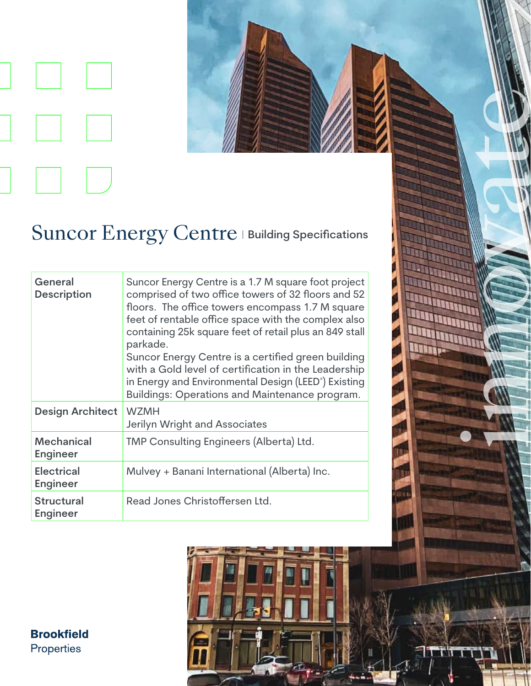



in de la Balaise de la Carta de la

**THE Little** 

**MILLET** 

## Suncor Energy Centre | Building Specifications

| General<br><b>Description</b>        | Suncor Energy Centre is a 1.7 M square foot project<br>comprised of two office towers of 32 floors and 52<br>floors. The office towers encompass 1.7 M square<br>feet of rentable office space with the complex also<br>containing 25k square feet of retail plus an 849 stall<br>parkade.<br>Suncor Energy Centre is a certified green building<br>with a Gold level of certification in the Leadership<br>in Energy and Environmental Design (LEED <sup>®</sup> ) Existing<br>Buildings: Operations and Maintenance program. |
|--------------------------------------|--------------------------------------------------------------------------------------------------------------------------------------------------------------------------------------------------------------------------------------------------------------------------------------------------------------------------------------------------------------------------------------------------------------------------------------------------------------------------------------------------------------------------------|
| <b>Design Architect</b>              | <b>WZMH</b><br>Jerilyn Wright and Associates                                                                                                                                                                                                                                                                                                                                                                                                                                                                                   |
| <b>Mechanical</b><br><b>Engineer</b> | TMP Consulting Engineers (Alberta) Ltd.                                                                                                                                                                                                                                                                                                                                                                                                                                                                                        |
| <b>Electrical</b><br><b>Engineer</b> | Mulvey + Banani International (Alberta) Inc.                                                                                                                                                                                                                                                                                                                                                                                                                                                                                   |
| <b>Structural</b><br><b>Engineer</b> | Read Jones Christoffersen Ltd.                                                                                                                                                                                                                                                                                                                                                                                                                                                                                                 |

**Brookfield** Properties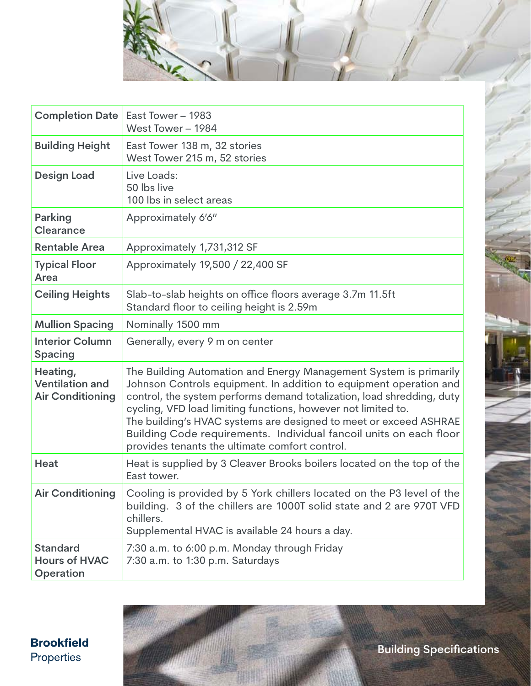

| <b>Completion Date</b>                                        | East Tower - 1983<br>West Tower - 1984                                                                                                                                                                                                                                                                                                                                                                                                                                          |
|---------------------------------------------------------------|---------------------------------------------------------------------------------------------------------------------------------------------------------------------------------------------------------------------------------------------------------------------------------------------------------------------------------------------------------------------------------------------------------------------------------------------------------------------------------|
| <b>Building Height</b>                                        | East Tower 138 m, 32 stories<br>West Tower 215 m, 52 stories                                                                                                                                                                                                                                                                                                                                                                                                                    |
| <b>Design Load</b>                                            | Live Loads:<br>50 lbs live<br>100 lbs in select areas                                                                                                                                                                                                                                                                                                                                                                                                                           |
| <b>Parking</b><br><b>Clearance</b>                            | Approximately 6'6"                                                                                                                                                                                                                                                                                                                                                                                                                                                              |
| <b>Rentable Area</b>                                          | Approximately 1,731,312 SF                                                                                                                                                                                                                                                                                                                                                                                                                                                      |
| <b>Typical Floor</b><br>Area                                  | Approximately 19,500 / 22,400 SF                                                                                                                                                                                                                                                                                                                                                                                                                                                |
| <b>Ceiling Heights</b>                                        | Slab-to-slab heights on office floors average 3.7m 11.5ft<br>Standard floor to ceiling height is 2.59m                                                                                                                                                                                                                                                                                                                                                                          |
| <b>Mullion Spacing</b>                                        | Nominally 1500 mm                                                                                                                                                                                                                                                                                                                                                                                                                                                               |
| <b>Interior Column</b><br><b>Spacing</b>                      | Generally, every 9 m on center                                                                                                                                                                                                                                                                                                                                                                                                                                                  |
| Heating,<br><b>Ventilation and</b><br><b>Air Conditioning</b> | The Building Automation and Energy Management System is primarily<br>Johnson Controls equipment. In addition to equipment operation and<br>control, the system performs demand totalization, load shredding, duty<br>cycling, VFD load limiting functions, however not limited to.<br>The building's HVAC systems are designed to meet or exceed ASHRAE<br>Building Code requirements. Individual fancoil units on each floor<br>provides tenants the ultimate comfort control. |
| <b>Heat</b>                                                   | Heat is supplied by 3 Cleaver Brooks boilers located on the top of the<br>East tower.                                                                                                                                                                                                                                                                                                                                                                                           |
| <b>Air Conditioning</b>                                       | Cooling is provided by 5 York chillers located on the P3 level of the<br>building. 3 of the chillers are 1000T solid state and 2 are 970T VFD<br>chillers.<br>Supplemental HVAC is available 24 hours a day.                                                                                                                                                                                                                                                                    |
| <b>Standard</b><br><b>Hours of HVAC</b><br>Operation          | 7:30 a.m. to 6:00 p.m. Monday through Friday<br>7:30 a.m. to 1:30 p.m. Saturdays                                                                                                                                                                                                                                                                                                                                                                                                |

**Brookfield** Properties

**Building Specifications**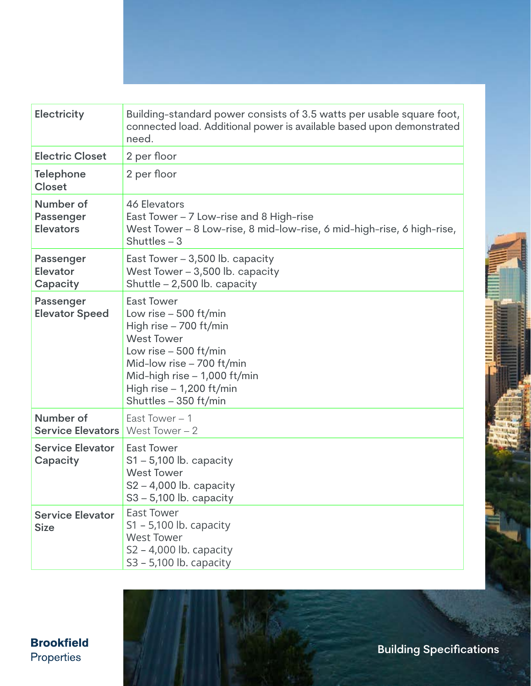| <b>Electricity</b>                                | Building-standard power consists of 3.5 watts per usable square foot,<br>connected load. Additional power is available based upon demonstrated<br>need.                                                                                  |
|---------------------------------------------------|------------------------------------------------------------------------------------------------------------------------------------------------------------------------------------------------------------------------------------------|
| <b>Electric Closet</b>                            | 2 per floor                                                                                                                                                                                                                              |
| <b>Telephone</b><br><b>Closet</b>                 | 2 per floor                                                                                                                                                                                                                              |
| Number of<br><b>Passenger</b><br><b>Elevators</b> | 46 Elevators<br>East Tower - 7 Low-rise and 8 High-rise<br>West Tower – 8 Low-rise, 8 mid-low-rise, 6 mid-high-rise, 6 high-rise,<br>Shuttles $-3$                                                                                       |
| Passenger<br><b>Elevator</b><br>Capacity          | East Tower $-3,500$ lb. capacity<br>West Tower $-3,500$ lb. capacity<br>Shuttle - 2,500 lb. capacity                                                                                                                                     |
| Passenger<br><b>Elevator Speed</b>                | <b>East Tower</b><br>Low rise $-500$ ft/min<br>High rise - 700 ft/min<br><b>West Tower</b><br>Low rise $-500$ ft/min<br>Mid-low rise - 700 ft/min<br>Mid-high rise $-1,000$ ft/min<br>High rise $-1,200$ ft/min<br>Shuttles - 350 ft/min |
| Number of<br><b>Service Elevators</b>             | East Tower $-1$<br>West Tower $-2$                                                                                                                                                                                                       |
| <b>Service Elevator</b><br>Capacity               | <b>East Tower</b><br>$S1 - 5,100$ lb. capacity<br><b>West Tower</b><br>$S2 - 4,000$ lb. capacity<br>$S3 - 5,100$ lb. capacity                                                                                                            |
| <b>Service Elevator</b><br><b>Size</b>            | <b>East Tower</b><br>S1 - 5,100 lb. capacity<br><b>West Tower</b><br>S2 – 4,000 lb. capacity<br>S3 - 5,100 lb. capacity                                                                                                                  |

**Brookfield** Properties

**Building Specifications**